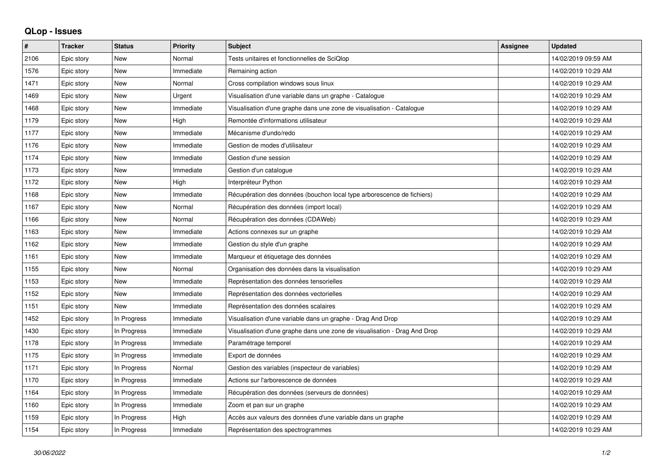## **QLop - Issues**

| $\sharp$ | <b>Tracker</b> | <b>Status</b> | <b>Priority</b> | <b>Subject</b>                                                            | Assignee | <b>Updated</b>      |
|----------|----------------|---------------|-----------------|---------------------------------------------------------------------------|----------|---------------------|
| 2106     | Epic story     | <b>New</b>    | Normal          | Tests unitaires et fonctionnelles de SciQlop                              |          | 14/02/2019 09:59 AM |
| 1576     | Epic story     | <b>New</b>    | Immediate       | Remaining action                                                          |          | 14/02/2019 10:29 AM |
| 1471     | Epic story     | <b>New</b>    | Normal          | Cross compilation windows sous linux                                      |          | 14/02/2019 10:29 AM |
| 1469     | Epic story     | <b>New</b>    | Urgent          | Visualisation d'une variable dans un graphe - Catalogue                   |          | 14/02/2019 10:29 AM |
| 1468     | Epic story     | <b>New</b>    | Immediate       | Visualisation d'une graphe dans une zone de visualisation - Catalogue     |          | 14/02/2019 10:29 AM |
| 1179     | Epic story     | <b>New</b>    | High            | Remontée d'informations utilisateur                                       |          | 14/02/2019 10:29 AM |
| 1177     | Epic story     | <b>New</b>    | Immediate       | Mécanisme d'undo/redo                                                     |          | 14/02/2019 10:29 AM |
| 1176     | Epic story     | <b>New</b>    | Immediate       | Gestion de modes d'utilisateur                                            |          | 14/02/2019 10:29 AM |
| 1174     | Epic story     | <b>New</b>    | Immediate       | Gestion d'une session                                                     |          | 14/02/2019 10:29 AM |
| 1173     | Epic story     | <b>New</b>    | Immediate       | Gestion d'un catalogue                                                    |          | 14/02/2019 10:29 AM |
| 1172     | Epic story     | <b>New</b>    | High            | Interpréteur Python                                                       |          | 14/02/2019 10:29 AM |
| 1168     | Epic story     | <b>New</b>    | Immediate       | Récupération des données (bouchon local type arborescence de fichiers)    |          | 14/02/2019 10:29 AM |
| 1167     | Epic story     | <b>New</b>    | Normal          | Récupération des données (import local)                                   |          | 14/02/2019 10:29 AM |
| 1166     | Epic story     | <b>New</b>    | Normal          | Récupération des données (CDAWeb)                                         |          | 14/02/2019 10:29 AM |
| 1163     | Epic story     | New           | Immediate       | Actions connexes sur un graphe                                            |          | 14/02/2019 10:29 AM |
| 1162     | Epic story     | <b>New</b>    | Immediate       | Gestion du style d'un graphe                                              |          | 14/02/2019 10:29 AM |
| 1161     | Epic story     | <b>New</b>    | Immediate       | Marqueur et étiquetage des données                                        |          | 14/02/2019 10:29 AM |
| 1155     | Epic story     | <b>New</b>    | Normal          | Organisation des données dans la visualisation                            |          | 14/02/2019 10:29 AM |
| 1153     | Epic story     | <b>New</b>    | Immediate       | Représentation des données tensorielles                                   |          | 14/02/2019 10:29 AM |
| 1152     | Epic story     | <b>New</b>    | Immediate       | Représentation des données vectorielles                                   |          | 14/02/2019 10:29 AM |
| 1151     | Epic story     | <b>New</b>    | Immediate       | Représentation des données scalaires                                      |          | 14/02/2019 10:29 AM |
| 1452     | Epic story     | In Progress   | Immediate       | Visualisation d'une variable dans un graphe - Drag And Drop               |          | 14/02/2019 10:29 AM |
| 1430     | Epic story     | In Progress   | Immediate       | Visualisation d'une graphe dans une zone de visualisation - Drag And Drop |          | 14/02/2019 10:29 AM |
| 1178     | Epic story     | In Progress   | Immediate       | Paramétrage temporel                                                      |          | 14/02/2019 10:29 AM |
| 1175     | Epic story     | In Progress   | Immediate       | Export de données                                                         |          | 14/02/2019 10:29 AM |
| 1171     | Epic story     | In Progress   | Normal          | Gestion des variables (inspecteur de variables)                           |          | 14/02/2019 10:29 AM |
| 1170     | Epic story     | In Progress   | Immediate       | Actions sur l'arborescence de données                                     |          | 14/02/2019 10:29 AM |
| 1164     | Epic story     | In Progress   | Immediate       | Récupération des données (serveurs de données)                            |          | 14/02/2019 10:29 AM |
| 1160     | Epic story     | In Progress   | Immediate       | Zoom et pan sur un graphe                                                 |          | 14/02/2019 10:29 AM |
| 1159     | Epic story     | In Progress   | High            | Accès aux valeurs des données d'une variable dans un graphe               |          | 14/02/2019 10:29 AM |
| 1154     | Epic story     | In Progress   | Immediate       | Représentation des spectrogrammes                                         |          | 14/02/2019 10:29 AM |